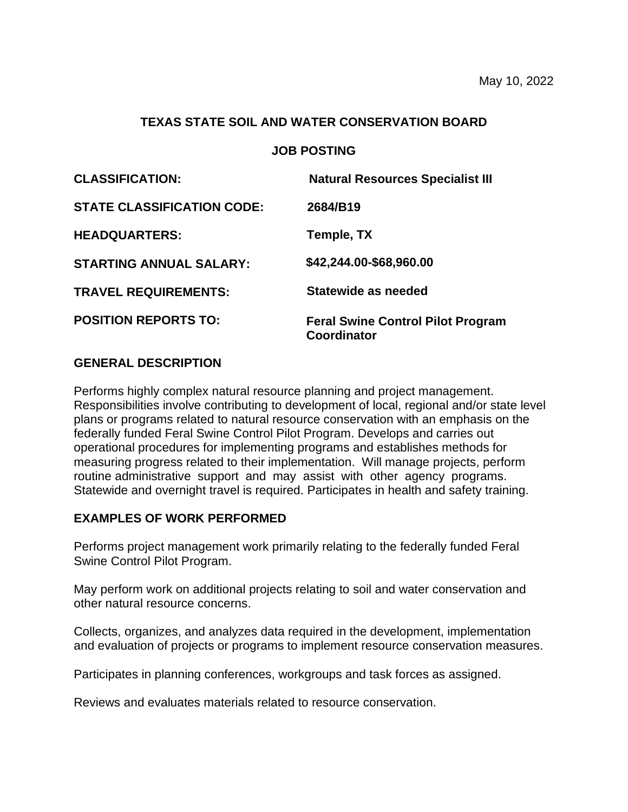#### **TEXAS STATE SOIL AND WATER CONSERVATION BOARD**

# **JOB POSTING**

| <b>CLASSIFICATION:</b>            | <b>Natural Resources Specialist III</b>                        |
|-----------------------------------|----------------------------------------------------------------|
| <b>STATE CLASSIFICATION CODE:</b> | 2684/B19                                                       |
| <b>HEADQUARTERS:</b>              | Temple, TX                                                     |
| <b>STARTING ANNUAL SALARY:</b>    | \$42,244.00-\$68,960.00                                        |
| <b>TRAVEL REQUIREMENTS:</b>       | Statewide as needed                                            |
| <b>POSITION REPORTS TO:</b>       | <b>Feral Swine Control Pilot Program</b><br><b>Coordinator</b> |

# **GENERAL DESCRIPTION**

Performs highly complex natural resource planning and project management. Responsibilities involve contributing to development of local, regional and/or state level plans or programs related to natural resource conservation with an emphasis on the federally funded Feral Swine Control Pilot Program. Develops and carries out operational procedures for implementing programs and establishes methods for measuring progress related to their implementation. Will manage projects, perform routine administrative support and may assist with other agency programs. Statewide and overnight travel is required. Participates in health and safety training.

# **EXAMPLES OF WORK PERFORMED**

Performs project management work primarily relating to the federally funded Feral Swine Control Pilot Program.

May perform work on additional projects relating to soil and water conservation and other natural resource concerns.

Collects, organizes, and analyzes data required in the development, implementation and evaluation of projects or programs to implement resource conservation measures.

Participates in planning conferences, workgroups and task forces as assigned.

Reviews and evaluates materials related to resource conservation.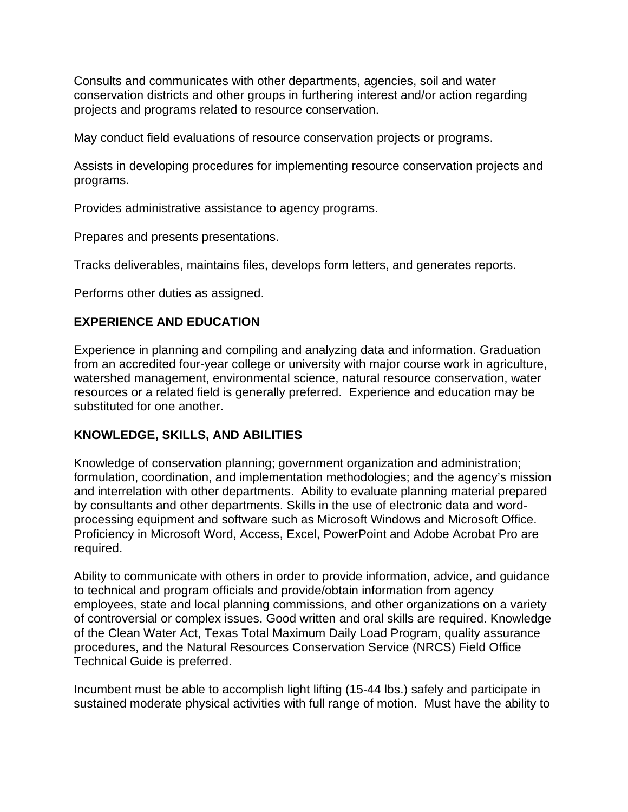Consults and communicates with other departments, agencies, soil and water conservation districts and other groups in furthering interest and/or action regarding projects and programs related to resource conservation.

May conduct field evaluations of resource conservation projects or programs.

Assists in developing procedures for implementing resource conservation projects and programs.

Provides administrative assistance to agency programs.

Prepares and presents presentations.

Tracks deliverables, maintains files, develops form letters, and generates reports.

Performs other duties as assigned.

# **EXPERIENCE AND EDUCATION**

Experience in planning and compiling and analyzing data and information. Graduation from an accredited four-year college or university with major course work in agriculture, watershed management, environmental science, natural resource conservation, water resources or a related field is generally preferred. Experience and education may be substituted for one another.

# **KNOWLEDGE, SKILLS, AND ABILITIES**

Knowledge of conservation planning; government organization and administration; formulation, coordination, and implementation methodologies; and the agency's mission and interrelation with other departments. Ability to evaluate planning material prepared by consultants and other departments. Skills in the use of electronic data and wordprocessing equipment and software such as Microsoft Windows and Microsoft Office. Proficiency in Microsoft Word, Access, Excel, PowerPoint and Adobe Acrobat Pro are required.

Ability to communicate with others in order to provide information, advice, and guidance to technical and program officials and provide/obtain information from agency employees, state and local planning commissions, and other organizations on a variety of controversial or complex issues. Good written and oral skills are required. Knowledge of the Clean Water Act, Texas Total Maximum Daily Load Program, quality assurance procedures, and the Natural Resources Conservation Service (NRCS) Field Office Technical Guide is preferred.

Incumbent must be able to accomplish light lifting (15-44 lbs.) safely and participate in sustained moderate physical activities with full range of motion. Must have the ability to